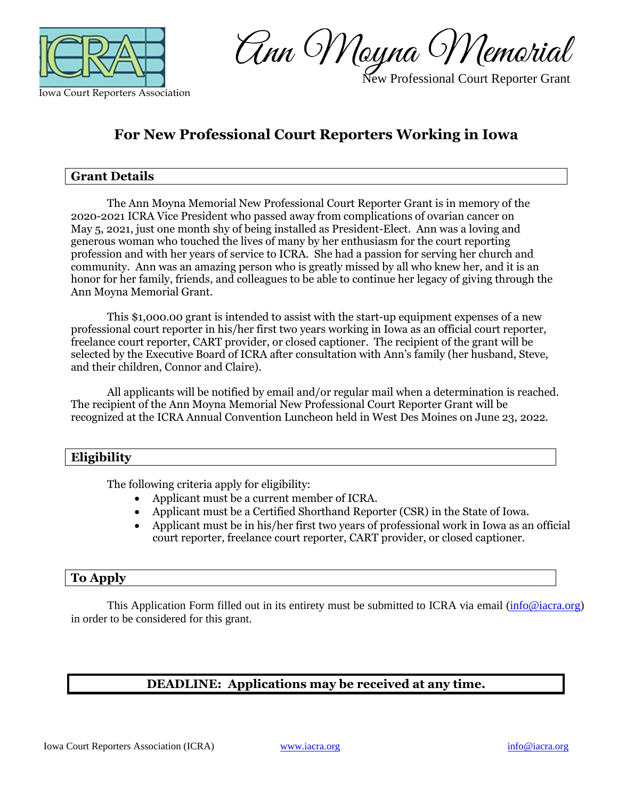

New Professional Court Reporter Grant

## **For New Professional Court Reporters Working in Iowa**

## **Grant Details**

The Ann Moyna Memorial New Professional Court Reporter Grant is in memory of the 2020-2021 ICRA Vice President who passed away from complications of ovarian cancer on May 5, 2021, just one month shy of being installed as President-Elect. Ann was a loving and generous woman who touched the lives of many by her enthusiasm for the court reporting profession and with her years of service to ICRA. She had a passion for serving her church and community. Ann was an amazing person who is greatly missed by all who knew her, and it is an honor for her family, friends, and colleagues to be able to continue her legacy of giving through the Ann Moyna Memorial Grant.

This \$1,000.00 grant is intended to assist with the start-up equipment expenses of a new professional court reporter in his/her first two years working in Iowa as an official court reporter, freelance court reporter, CART provider, or closed captioner. The recipient of the grant will be selected by the Executive Board of ICRA after consultation with Ann's family (her husband, Steve, and their children, Connor and Claire).

All applicants will be notified by email and/or regular mail when a determination is reached. The recipient of the Ann Moyna Memorial New Professional Court Reporter Grant will be recognized at the ICRA Annual Convention Luncheon held in West Des Moines on June 23, 2022.

#### **Eligibility**

The following criteria apply for eligibility:

- Applicant must be a current member of ICRA.
- Applicant must be a Certified Shorthand Reporter (CSR) in the State of Iowa.
- Applicant must be in his/her first two years of professional work in Iowa as an official court reporter, freelance court reporter, CART provider, or closed captioner.

## **To Apply**

This Application Form filled out in its entirety must be submitted to ICRA via email [\(info@iacra.org\)](mailto:info@iacra.org) in order to be considered for this grant.

## **DEADLINE: Applications may be received at any time.**